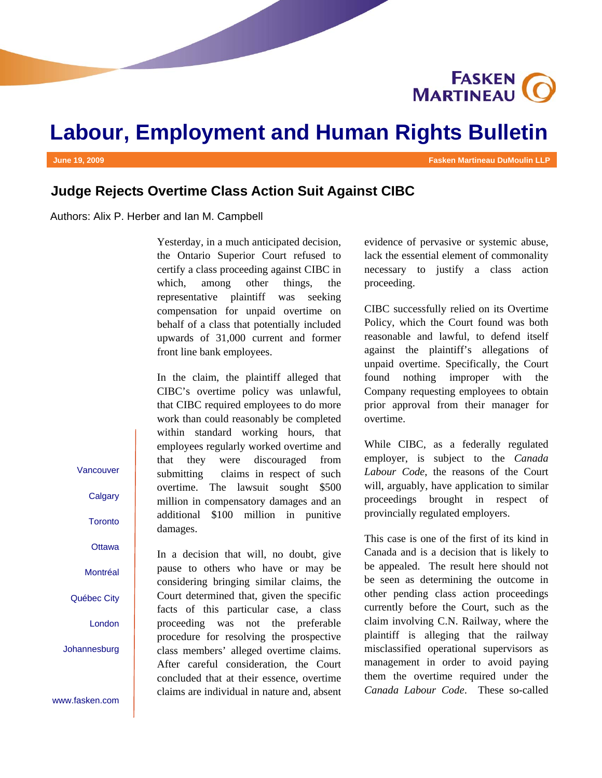**FASKEN** 

# **Labour, Employment and Human Rights Bulletin**

**June 19, 2009 Fasken Martineau DuMoulin LLP** 

## **Judge Rejects Overtime Class Action Suit Against CIBC**

Authors: Alix P. Herber and Ian M. Campbell

Yesterday, in a much anticipated decision, the Ontario Superior Court refused to certify a class proceeding against CIBC in which, among other things, the representative plaintiff was seeking compensation for unpaid overtime on behalf of a class that potentially included upwards of 31,000 current and former front line bank employees.

In the claim, the plaintiff alleged that CIBC's overtime policy was unlawful, that CIBC required employees to do more work than could reasonably be completed within standard working hours, that employees regularly worked overtime and that they were discouraged from submitting claims in respect of such overtime. The lawsuit sought \$500 million in compensatory damages and an additional \$100 million in punitive damages.

In a decision that will, no doubt, give pause to others who have or may be considering bringing similar claims, the Court determined that, given the specific facts of this particular case, a class proceeding was not the preferable procedure for resolving the prospective class members' alleged overtime claims. After careful consideration, the Court concluded that at their essence, overtime claims are individual in nature and, absent evidence of pervasive or systemic abuse, lack the essential element of commonality necessary to justify a class action proceeding.

CIBC successfully relied on its Overtime Policy, which the Court found was both reasonable and lawful, to defend itself against the plaintiff's allegations of unpaid overtime. Specifically, the Court found nothing improper with the Company requesting employees to obtain prior approval from their manager for overtime.

While CIBC, as a federally regulated employer, is subject to the *Canada Labour Code*, the reasons of the Court will, arguably, have application to similar proceedings brought in respect of provincially regulated employers.

This case is one of the first of its kind in Canada and is a decision that is likely to be appealed. The result here should not be seen as determining the outcome in other pending class action proceedings currently before the Court, such as the claim involving C.N. Railway, where the plaintiff is alleging that the railway misclassified operational supervisors as management in order to avoid paying them the overtime required under the *Canada Labour Code*. These so-called

Vancouver

**Calgary** 

**Toronto** 

**Ottawa** 

Montréal

Québec City

London

Johannesburg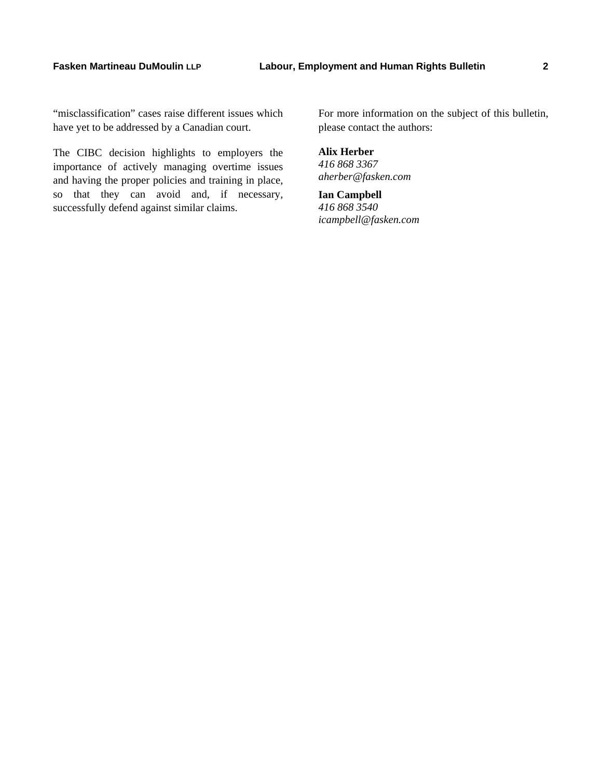"misclassification" cases raise different issues which have yet to be addressed by a Canadian court.

The CIBC decision highlights to employers the importance of actively managing overtime issues and having the proper policies and training in place, so that they can avoid and, if necessary, successfully defend against similar claims.

For more information on the subject of this bulletin, please contact the authors:

**Alix Herber**  *416 868 3367 aherber@fasken.com* 

**Ian Campbell**  *416 868 3540 icampbell@fasken.com*